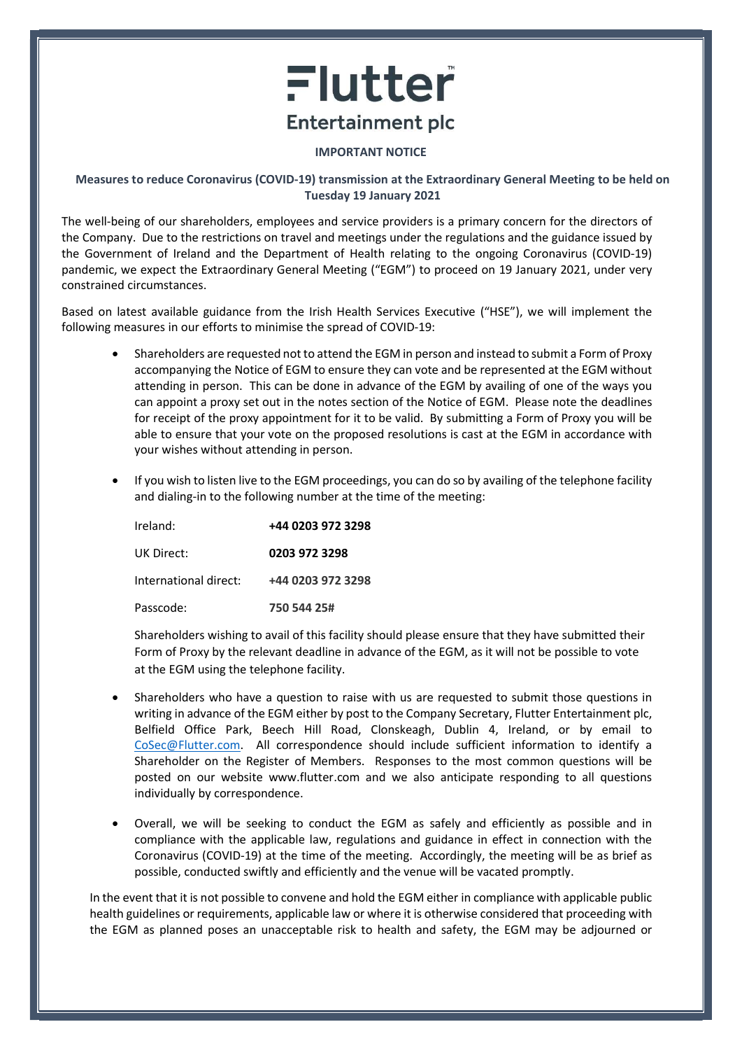## Flutter **Entertainment plc**

## IMPORTANT NOTICE

## Measures to reduce Coronavirus (COVID-19) transmission at the Extraordinary General Meeting to be held on Tuesday 19 January 2021

The well-being of our shareholders, employees and service providers is a primary concern for the directors of the Company. Due to the restrictions on travel and meetings under the regulations and the guidance issued by the Government of Ireland and the Department of Health relating to the ongoing Coronavirus (COVID-19) pandemic, we expect the Extraordinary General Meeting ("EGM") to proceed on 19 January 2021, under very constrained circumstances.

Based on latest available guidance from the Irish Health Services Executive ("HSE"), we will implement the following measures in our efforts to minimise the spread of COVID-19:

- Shareholders are requested not to attend the EGM in person and instead to submit a Form of Proxy accompanying the Notice of EGM to ensure they can vote and be represented at the EGM without attending in person. This can be done in advance of the EGM by availing of one of the ways you can appoint a proxy set out in the notes section of the Notice of EGM. Please note the deadlines for receipt of the proxy appointment for it to be valid. By submitting a Form of Proxy you will be able to ensure that your vote on the proposed resolutions is cast at the EGM in accordance with your wishes without attending in person.
- If you wish to listen live to the EGM proceedings, you can do so by availing of the telephone facility and dialing-in to the following number at the time of the meeting:

| Ireland:              | +44 0203 972 3298 |
|-----------------------|-------------------|
| UK Direct:            | 0203 972 3298     |
| International direct: | +44 0203 972 3298 |
| Passcode:             | 750 544 25#       |

Shareholders wishing to avail of this facility should please ensure that they have submitted their Form of Proxy by the relevant deadline in advance of the EGM, as it will not be possible to vote at the EGM using the telephone facility.

- Shareholders who have a question to raise with us are requested to submit those questions in writing in advance of the EGM either by post to the Company Secretary, Flutter Entertainment plc, Belfield Office Park, Beech Hill Road, Clonskeagh, Dublin 4, Ireland, or by email to CoSec@Flutter.com. All correspondence should include sufficient information to identify a Shareholder on the Register of Members. Responses to the most common questions will be posted on our website www.flutter.com and we also anticipate responding to all questions individually by correspondence.
- Overall, we will be seeking to conduct the EGM as safely and efficiently as possible and in compliance with the applicable law, regulations and guidance in effect in connection with the Coronavirus (COVID-19) at the time of the meeting. Accordingly, the meeting will be as brief as possible, conducted swiftly and efficiently and the venue will be vacated promptly.

In the event that it is not possible to convene and hold the EGM either in compliance with applicable public health guidelines or requirements, applicable law or where it is otherwise considered that proceeding with the EGM as planned poses an unacceptable risk to health and safety, the EGM may be adjourned or